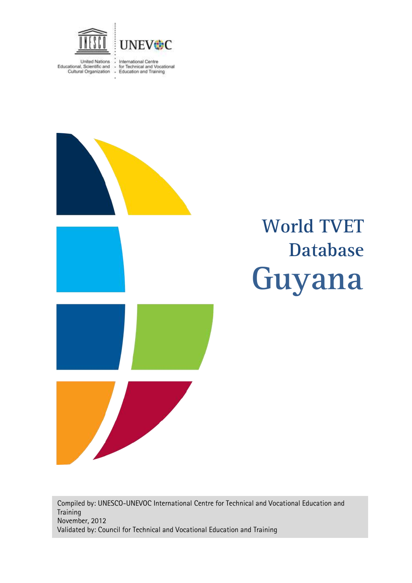

United Nations : International Centre<br>Educational, Scientific and : for Technical and Vocational<br>Cultural Organization : Education and Training



# **Guyana World TVET Database**

Compiled by: UNESCO-UNEVOC International Centre for Technical and Vocational Education and **Training** November, 2012 Validated by: Council for Technical and Vocational Education and Training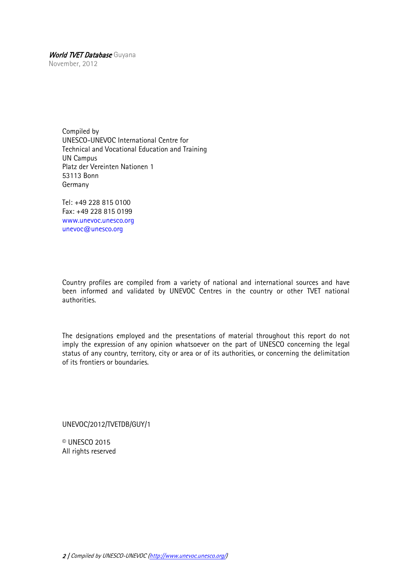November, 2012

Compiled by UNESCO-UNEVOC International Centre for Technical and Vocational Education and Training UN Campus Platz der Vereinten Nationen 1 53113 Bonn Germany

Tel: +49 228 815 0100 Fax: +49 228 815 0199 [www.unevoc.unesco.org](http://www.unevoc.unesco.org/) [unevoc@unesco.org](mailto:unevoc@unesco.org)

Country profiles are compiled from a variety of national and international sources and have been informed and validated by UNEVOC Centres in the country or other TVET national authorities.

The designations employed and the presentations of material throughout this report do not imply the expression of any opinion whatsoever on the part of UNESCO concerning the legal status of any country, territory, city or area or of its authorities, or concerning the delimitation of its frontiers or boundaries.

UNEVOC/2012/TVETDB/GUY/1

© UNESCO 2015 All rights reserved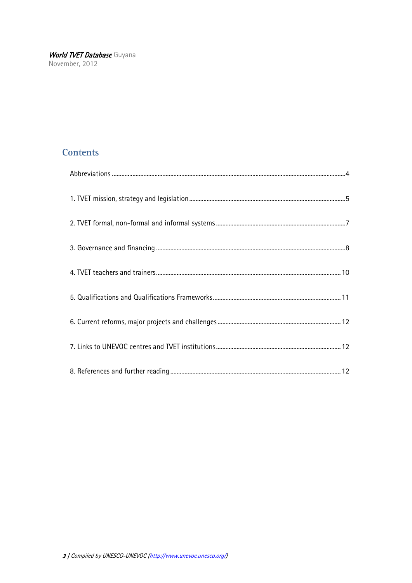## **Contents**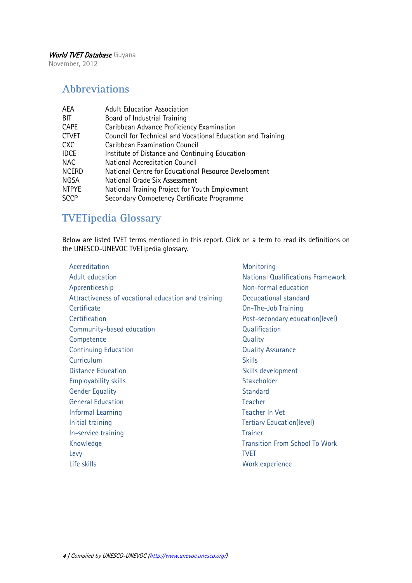November, 2012

## <span id="page-3-0"></span>**Abbreviations**

| AEA          | <b>Adult Education Association</b>                          |
|--------------|-------------------------------------------------------------|
| BIT          | Board of Industrial Training                                |
| <b>CAPE</b>  | Caribbean Advance Proficiency Examination                   |
| <b>CTVET</b> | Council for Technical and Vocational Education and Training |
| <b>CXC</b>   | Caribbean Examination Council                               |
| <b>IDCE</b>  | Institute of Distance and Continuing Education              |
| <b>NAC</b>   | <b>National Accreditation Council</b>                       |
| <b>NCERD</b> | National Centre for Educational Resource Development        |
| NGSA         | National Grade Six Assessment                               |
| <b>NTPYE</b> | National Training Project for Youth Employment              |
| <b>SCCP</b>  | Secondary Competency Certificate Programme                  |

## **TVETipedia Glossary**

Below are listed TVET terms mentioned in this report. Click on a term to read its definitions on the UNESCO-UNEVOC TVETipedia glossary.

| Monitoring               |
|--------------------------|
| <b>National Qualific</b> |
| Non-formal educ          |
| Occupational sta         |
| On-The-Job Train         |
| Post-secondary e         |
| Qualification            |
| Quality                  |
| <b>Quality Assuranc</b>  |
| <b>Skills</b>            |
| Skills developmer        |
| Stakeholder              |
| <b>Standard</b>          |
| <b>Teacher</b>           |
| <b>Teacher In Vet</b>    |
| <b>Tertiary Educatio</b> |
| <b>Trainer</b>           |
| <b>Transition From S</b> |
| <b>TVET</b>              |
| Work experience          |
|                          |

[Monitoring](http://www.unevoc.unesco.org/go.php?q=TVETipedia+Glossary+A-Z&id=329) **[National Qualifications Framework](http://www.unevoc.unesco.org/go.php?q=TVETipedia+Glossary+A-Z&filt=all&id=333)** [Non-formal education](http://www.unevoc.unesco.org/go.php?q=TVETipedia+Glossary+A-Z&id=185) [Occupational standard](http://www.unevoc.unesco.org/go.php?q=TVETipedia+Glossary+A-Z&id=343) [On-The-Job Training](http://www.unevoc.unesco.org/go.php?q=TVETipedia+Glossary+A-Z&filt=all&id=346) [Post-secondary education\(level\)](http://www.unevoc.unesco.org/go.php?q=TVETipedia+Glossary+A-Z&id=355) **[Qualification](http://www.unevoc.unesco.org/go.php?q=TVETipedia+Glossary+A-Z&filt=all&id=367) [Quality](http://www.unevoc.unesco.org/go.php?q=TVETipedia+Glossary+A-Z&filt=all&id=374) [Quality Assurance](http://www.unevoc.unesco.org/go.php?q=TVETipedia+Glossary+A-Z&filt=all&id=375)** [Skills development](http://www.unevoc.unesco.org/go.php?q=TVETipedia+Glossary+A-Z&id=427) [Stakeholder](http://www.unevoc.unesco.org/go.php?q=TVETipedia+Glossary+A-Z&id=441) [Standard](http://www.unevoc.unesco.org/go.php?q=TVETipedia+Glossary+A-Z&filt=all&id=452) **[Teacher](http://www.unevoc.unesco.org/go.php?q=TVETipedia+Glossary+A-Z&id=471)** [Teacher In Vet](http://www.unevoc.unesco.org/go.php?q=TVETipedia+Glossary+A-Z&filt=all&id=472) **[Tertiary Education\(level\)](http://www.unevoc.unesco.org/go.php?q=TVETipedia+Glossary+A-Z&filt=all&id=480) [Transition From School To Work](http://www.unevoc.unesco.org/go.php?q=TVETipedia+Glossary+A-Z&filt=all&id=529)**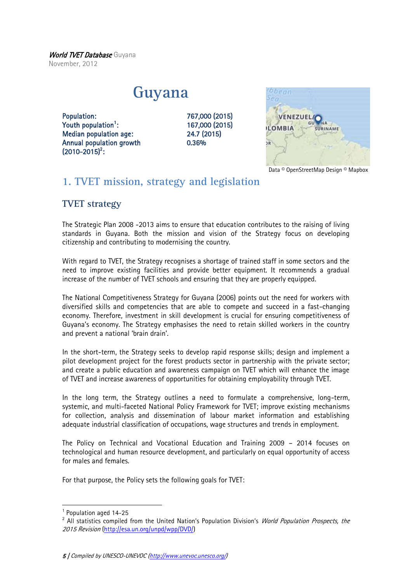World TVET Database Guyana November, 2012

## **Guyana**

Population: 767,000 (2015) Youth population<sup>1</sup>: Median population age: 24.7 (2015) Annual population growth 0.36%  $(2010 - 2015)^2$ :

: 167,000 (2015)



Data © OpenStreetMap Design © Mapbox

## <span id="page-4-0"></span>**1. TVET mission, strategy and legislation**

## **TVET strategy**

The Strategic Plan 2008 -2013 aims to ensure that education contributes to the raising of living standards in Guyana. Both the mission and vision of the Strategy focus on developing citizenship and contributing to modernising the country.

With regard to TVET, the Strategy recognises a shortage of trained staff in some sectors and the need to improve existing facilities and provide better equipment. It recommends a gradual increase of the number of TVET schools and ensuring that they are properly equipped.

The National Competitiveness Strategy for Guyana (2006) points out the need for workers with diversified skills and competencies that are able to compete and succeed in a fast-changing economy. Therefore, investment in skill development is crucial for ensuring competitiveness of Guyana's economy. The Strategy emphasises the need to retain skilled workers in the country and prevent a national 'brain drain'.

In the short-term, the Strategy seeks to develop rapid response skills; design and implement a pilot development project for the forest products sector in partnership with the private sector; and create a public education and awareness campaign on TVET which will enhance the image of TVET and increase awareness of opportunities for obtaining employability through TVET.

In the long term, the Strategy outlines a need to formulate a comprehensive, long-term, systemic, and multi-faceted National Policy Framework for TVET; improve existing mechanisms for collection, analysis and dissemination of labour market information and establishing adequate industrial classification of occupations, wage structures and trends in employment.

The Policy on Technical and Vocational Education and Training 2009 – 2014 focuses on technological and human resource development, and particularly on equal opportunity of access for males and females.

For that purpose, the Policy sets the following goals for TVET:

1

<sup>&</sup>lt;sup>1</sup> Population aged 14-25

<sup>&</sup>lt;sup>2</sup> All statistics compiled from the United Nation's Population Division's *World Population Prospects, the* 2015 Revision [\(http://esa.un.org/unpd/wpp/DVD/\)](http://esa.un.org/unpd/wpp/DVD/)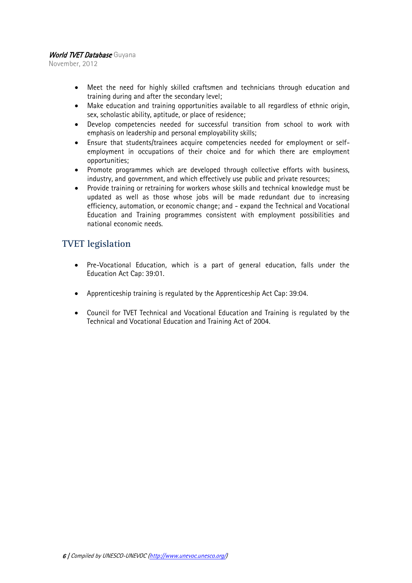November, 2012

- Meet the need for highly skilled craftsmen and technicians through education and training during and after the secondary level;
- Make education and training opportunities available to all regardless of ethnic origin, sex, scholastic ability, aptitude, or place of residence;
- Develop competencies needed for successful transition from school to work with emphasis on leadership and personal employability skills;
- Ensure that students/trainees acquire competencies needed for employment or selfemployment in occupations of their choice and for which there are employment opportunities;
- Promote programmes which are developed through collective efforts with business, industry, and government, and which effectively use public and private resources;
- Provide training or retraining for workers whose skills and technical knowledge must be updated as well as those whose jobs will be made redundant due to increasing efficiency, automation, or economic change; and - expand the Technical and Vocational Education and Training programmes consistent with employment possibilities and national economic needs.

## **TVET legislation**

- Pre-Vocational Education, which is a part of general education, falls under the Education Act Cap: 39:01.
- Apprenticeship training is regulated by the Apprenticeship Act Cap: 39:04.
- Council for TVET Technical and Vocational Education and Training is regulated by the Technical and Vocational Education and Training Act of 2004.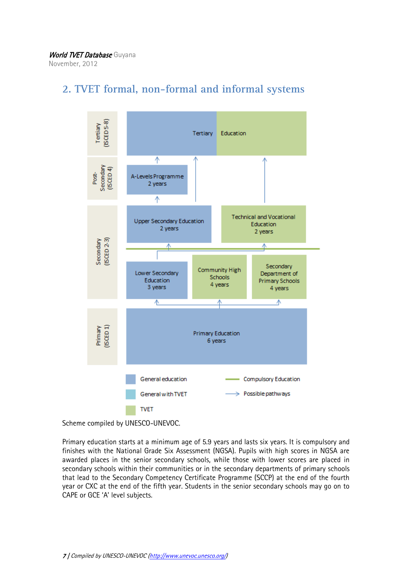

## <span id="page-6-0"></span>**2. TVET formal, non-formal and informal systems**

Scheme compiled by UNESCO-UNEVOC.

Primary education starts at a minimum age of 5.9 years and lasts six years. It is compulsory and finishes with the National Grade Six Assessment (NGSA). Pupils with high scores in NGSA are awarded places in the senior secondary schools, while those with lower scores are placed in secondary schools within their communities or in the secondary departments of primary schools that lead to the Secondary Competency Certificate Programme (SCCP) at the end of the fourth year or CXC at the end of the fifth year. Students in the senior secondary schools may go on to CAPE or GCE 'A' level subjects.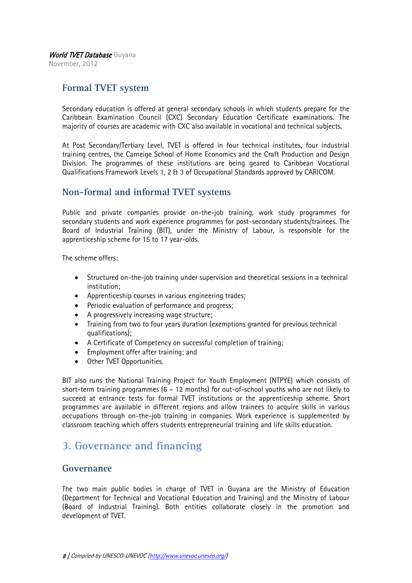November, 2012

## **Formal TVET system**

Secondary education is offered at general secondary schools in which students prepare for the Caribbean Examination Council (CXC) Secondary Education Certificate examinations. The majority of courses are academic with CXC also available in vocational and technical subjects.

At Post Secondary/Tertiary Level, TVET is offered in four technical institutes, four industrial training centres, the Carneige School of Home Economics and the Craft Production and Design Division. The programmes of these institutions are being geared to Caribbean Vocational Qualifications Framework Levels 1, 2 & 3 of Occupational Standards approved by CARICOM.

#### **Non-formal and informal TVET systems**

Public and private companies provide on-the-job training, work study programmes for secondary students and work experience programmes for post-secondary students/trainees. The Board of Industrial Training (BIT), under the Ministry of Labour, is responsible for the apprenticeship scheme for 15 to 17 year-olds.

The scheme offers:

- Structured on-the-job training under supervision and theoretical sessions in a technical institution;
- Apprenticeship courses in various engineering trades;
- Periodic evaluation of performance and progress;
- A progressively increasing wage structure;
- Training from two to four years duration (exemptions granted for previous technical qualifications);
- A Certificate of Competency on successful completion of training;
- Employment offer after training; and
- Other TVET Opportunities.

BIT also runs the National Training Project for Youth Employment (NTPYE) which consists of short-term training programmes (6 – 12 months) for out-of-school youths who are not likely to succeed at entrance tests for formal TVET institutions or the apprenticeship scheme. Short programmes are available in different regions and allow trainees to acquire skills in various occupations through on-the-job training in companies. Work experience is supplemented by classroom teaching which offers students entrepreneurial training and life skills education.

## <span id="page-7-0"></span>**3. Governance and financing**

#### **Governance**

The two main public bodies in charge of TVET in Guyana are the Ministry of Education (Department for Technical and Vocational Education and Training) and the Ministry of Labour (Board of Industrial Training). Both entities collaborate closely in the promotion and development of TVET.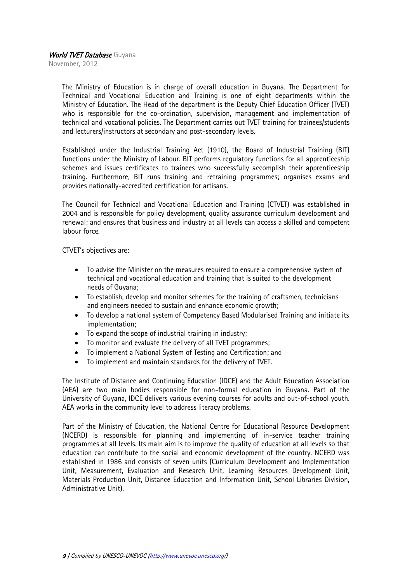November, 2012

The Ministry of Education is in charge of overall education in Guyana. The Department for Technical and Vocational Education and Training is one of eight departments within the Ministry of Education. The Head of the department is the Deputy Chief Education Officer (TVET) who is responsible for the co-ordination, supervision, management and implementation of technical and vocational policies. The Department carries out TVET training for trainees/students and lecturers/instructors at secondary and post-secondary levels.

Established under the Industrial Training Act (1910), the Board of Industrial Training (BIT) functions under the Ministry of Labour. BIT performs regulatory functions for all apprenticeship schemes and issues certificates to trainees who successfully accomplish their apprenticeship training. Furthermore, BIT runs training and retraining programmes; organises exams and provides nationally-accredited certification for artisans.

The Council for Technical and Vocational Education and Training (CTVET) was established in 2004 and is responsible for policy development, quality assurance curriculum development and renewal; and ensures that business and industry at all levels can access a skilled and competent labour force.

CTVET's objectives are:

- To advise the Minister on the measures required to ensure a comprehensive system of technical and vocational education and training that is suited to the development needs of Guyana;
- To establish, develop and monitor schemes for the training of craftsmen, technicians and engineers needed to sustain and enhance economic growth;
- To develop a national system of Competency Based Modularised Training and initiate its implementation;
- To expand the scope of industrial training in industry;
- To monitor and evaluate the delivery of all TVET programmes;
- To implement a National System of Testing and Certification; and
- To implement and maintain standards for the delivery of TVET.

The Institute of Distance and Continuing Education (IDCE) and the Adult Education Association (AEA) are two main bodies responsible for non-formal education in Guyana. Part of the University of Guyana, IDCE delivers various evening courses for adults and out-of-school youth. AEA works in the community level to address literacy problems.

Part of the Ministry of Education, the National Centre for Educational Resource Development (NCERD) is responsible for planning and implementing of in-service teacher training programmes at all levels. Its main aim is to improve the quality of education at all levels so that education can contribute to the social and economic development of the country. NCERD was established in 1986 and consists of seven units (Curriculum Development and Implementation Unit, Measurement, Evaluation and Research Unit, Learning Resources Development Unit, Materials Production Unit, Distance Education and Information Unit, School Libraries Division, Administrative Unit).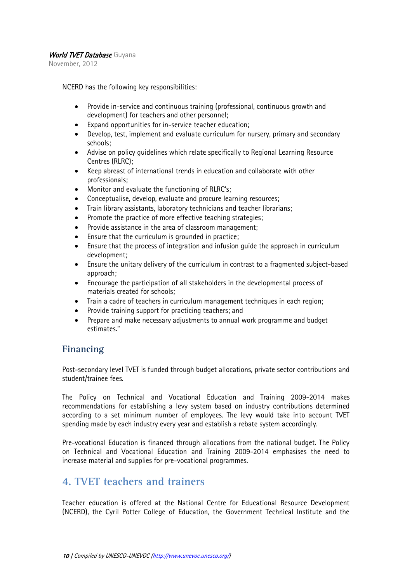November, 2012

NCERD has the following key responsibilities:

- Provide in-service and continuous training (professional, continuous growth and development) for teachers and other personnel;
- Expand opportunities for in-service teacher education;
- Develop, test, implement and evaluate curriculum for nursery, primary and secondary schools;
- Advise on policy guidelines which relate specifically to Regional Learning Resource Centres (RLRC);
- Keep abreast of international trends in education and collaborate with other professionals;
- Monitor and evaluate the functioning of RLRC's;
- Conceptualise, develop, evaluate and procure learning resources;
- Train library assistants, laboratory technicians and teacher librarians;
- Promote the practice of more effective teaching strategies;
- Provide assistance in the area of classroom management;
- Ensure that the curriculum is grounded in practice;
- Ensure that the process of integration and infusion guide the approach in curriculum development;
- Ensure the unitary delivery of the curriculum in contrast to a fragmented subject-based approach;
- Encourage the participation of all stakeholders in the developmental process of materials created for schools;
- Train a cadre of teachers in curriculum management techniques in each region;
- Provide training support for practicing teachers; and
- Prepare and make necessary adjustments to annual work programme and budget estimates."

## **Financing**

Post-secondary level TVET is funded through budget allocations, private sector contributions and student/trainee fees.

The Policy on Technical and Vocational Education and Training 2009-2014 makes recommendations for establishing a levy system based on industry contributions determined according to a set minimum number of employees. The levy would take into account TVET spending made by each industry every year and establish a rebate system accordingly.

Pre-vocational Education is financed through allocations from the national budget. The Policy on Technical and Vocational Education and Training 2009-2014 emphasises the need to increase material and supplies for pre-vocational programmes.

## <span id="page-9-0"></span>**4. TVET teachers and trainers**

Teacher education is offered at the National Centre for Educational Resource Development (NCERD), the Cyril Potter College of Education, the Government Technical Institute and the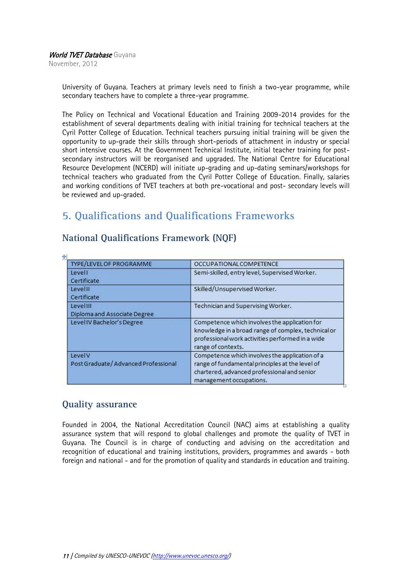November, 2012

University of Guyana. Teachers at primary levels need to finish a two-year programme, while secondary teachers have to complete a three-year programme.

The Policy on Technical and Vocational Education and Training 2009-2014 provides for the establishment of several departments dealing with initial training for technical teachers at the Cyril Potter College of Education. Technical teachers pursuing initial training will be given the opportunity to up-grade their skills through short-periods of attachment in industry or special short intensive courses. At the Government Technical Institute, initial teacher training for postsecondary instructors will be reorganised and upgraded. The National Centre for Educational Resource Development (NCERD) will initiate up-grading and up-dating seminars/workshops for technical teachers who graduated from the Cyril Potter College of Education. Finally, salaries and working conditions of TVET teachers at both pre-vocational and post- secondary levels will be reviewed and up-graded.

## <span id="page-10-0"></span>**5. Qualifications and Qualifications Frameworks**

| TYPE/LEVEL OF PROGRAMME                         | OCCUPATIONAL COMPETENCE                                                                                                                                                        |
|-------------------------------------------------|--------------------------------------------------------------------------------------------------------------------------------------------------------------------------------|
| Levell<br>Certificate                           | Semi-skilled, entry level, Supervised Worker.                                                                                                                                  |
| Levelll<br>Certificate                          | Skilled/Unsupervised Worker.                                                                                                                                                   |
| LevelIII<br><b>Diploma and Associate Degree</b> | Technician and Supervising Worker.                                                                                                                                             |
| Level IV Bachelor's Degree                      | Competence which involves the application for<br>knowledge in a broad range of complex, technical or<br>professional work activities performed in a wide<br>range of contexts. |
| LevelV<br>Post Graduate/Advanced Professional   | Competence which involves the application of a<br>range of fundamental principles at the level of<br>chartered, advanced professional and senior<br>management occupations.    |

#### **National Qualifications Framework (NQF)**

#### **Quality assurance**

Founded in 2004, the National Accreditation Council (NAC) aims at establishing a quality assurance system that will respond to global challenges and promote the quality of TVET in Guyana. The Council is in charge of conducting and advising on the accreditation and recognition of educational and training institutions, providers, programmes and awards - both foreign and national - and for the promotion of quality and standards in education and training.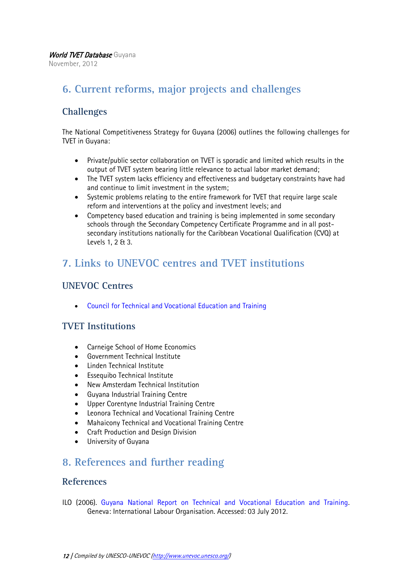November, 2012

## <span id="page-11-0"></span>**6. Current reforms, major projects and challenges**

## **Challenges**

The National Competitiveness Strategy for Guyana (2006) outlines the following challenges for TVET in Guyana:

- Private/public sector collaboration on TVET is sporadic and limited which results in the output of TVET system bearing little relevance to actual labor market demand;
- The TVET system lacks efficiency and effectiveness and budgetary constraints have had and continue to limit investment in the system;
- Systemic problems relating to the entire framework for TVET that require large scale reform and interventions at the policy and investment levels; and
- Competency based education and training is being implemented in some secondary schools through the Secondary Competency Certificate Programme and in all postsecondary institutions nationally for the Caribbean Vocational Qualification (CVQ) at Levels 1, 2 & 3.

## <span id="page-11-1"></span>**7. Links to UNEVOC centres and TVET institutions**

## **UNEVOC Centres**

[Council for Technical and Vocational Education and Training](http://www.unevoc.unesco.org/go.php?q=UNEVOC+Network+-+Centre&id=2988)

## **TVET Institutions**

- Carneige School of Home Economics
- Government Technical Institute
- Linden Technical Institute
- Essequibo Technical Institute
- New Amsterdam Technical Institution
- Guyana Industrial Training Centre
- Upper Corentyne Industrial Training Centre
- Leonora Technical and Vocational Training Centre
- Mahaicony Technical and Vocational Training Centre
- Craft Production and Design Division
- University of Guyana

## <span id="page-11-2"></span>**8. References and further reading**

#### **References**

ILO (2006). [Guyana National Report on Technical and Vocational Education and Training.](http://www.education.gov.gy/web/index.php/technical-and-vocational-education-tvet) Geneva: International Labour Organisation. Accessed: 03 July 2012.